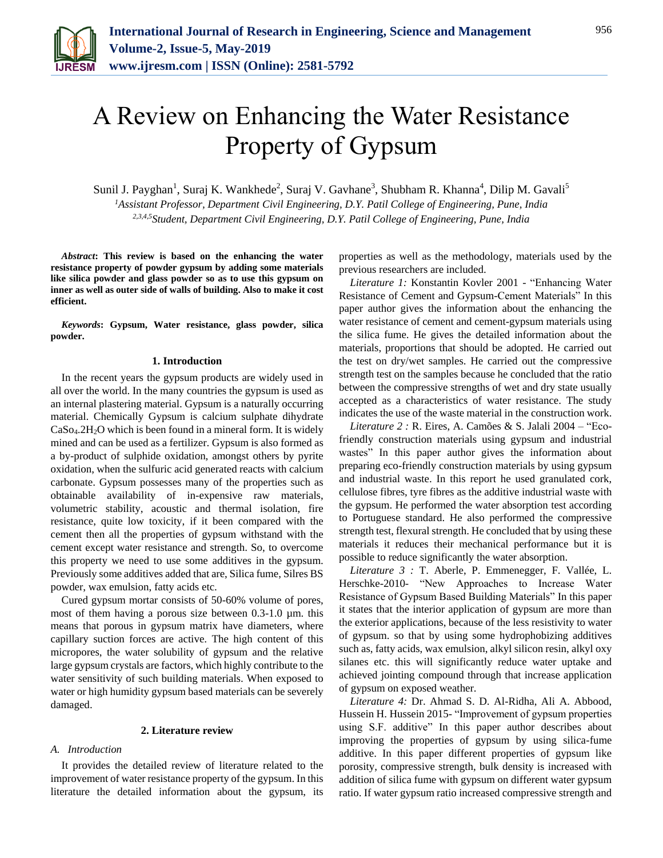

# A Review on Enhancing the Water Resistance Property of Gypsum

Sunil J. Payghan<sup>1</sup>, Suraj K. Wankhede<sup>2</sup>, Suraj V. Gavhane<sup>3</sup>, Shubham R. Khanna<sup>4</sup>, Dilip M. Gavali<sup>5</sup> *<sup>1</sup>Assistant Professor, Department Civil Engineering, D.Y. Patil College of Engineering, Pune, India 2,3,4,5Student, Department Civil Engineering, D.Y. Patil College of Engineering, Pune, India*

*Abstract***: This review is based on the enhancing the water resistance property of powder gypsum by adding some materials like silica powder and glass powder so as to use this gypsum on inner as well as outer side of walls of building. Also to make it cost efficient.**

*Keywords***: Gypsum, Water resistance, glass powder, silica powder.**

#### **1. Introduction**

In the recent years the gypsum products are widely used in all over the world. In the many countries the gypsum is used as an internal plastering material. Gypsum is a naturally occurring material. Chemically Gypsum is calcium sulphate dihydrate  $CaSo<sub>4</sub>.2H<sub>2</sub>O$  which is been found in a mineral form. It is widely mined and can be used as a fertilizer. Gypsum is also formed as a by-product of sulphide oxidation, amongst others by pyrite oxidation, when the sulfuric acid generated reacts with calcium carbonate. Gypsum possesses many of the properties such as obtainable availability of in-expensive raw materials, volumetric stability, acoustic and thermal isolation, fire resistance, quite low toxicity, if it been compared with the cement then all the properties of gypsum withstand with the cement except water resistance and strength. So, to overcome this property we need to use some additives in the gypsum. Previously some additives added that are, Silica fume, Silres BS powder, wax emulsion, fatty acids etc.

Cured gypsum mortar consists of 50-60% volume of pores, most of them having a porous size between 0.3-1.0  $\mu$ m. this means that porous in gypsum matrix have diameters, where capillary suction forces are active. The high content of this micropores, the water solubility of gypsum and the relative large gypsum crystals are factors, which highly contribute to the water sensitivity of such building materials. When exposed to water or high humidity gypsum based materials can be severely damaged.

## **2. Literature review**

# *A. Introduction*

It provides the detailed review of literature related to the improvement of water resistance property of the gypsum. In this literature the detailed information about the gypsum, its

properties as well as the methodology, materials used by the previous researchers are included.

*Literature 1:* Konstantin Kovler 2001 - "Enhancing Water Resistance of Cement and Gypsum-Cement Materials" In this paper author gives the information about the enhancing the water resistance of cement and cement-gypsum materials using the silica fume. He gives the detailed information about the materials, proportions that should be adopted. He carried out the test on dry/wet samples. He carried out the compressive strength test on the samples because he concluded that the ratio between the compressive strengths of wet and dry state usually accepted as a characteristics of water resistance. The study indicates the use of the waste material in the construction work.

*Literature 2 :* R. Eires, A. Camões & S. Jalali 2004 – "Ecofriendly construction materials using gypsum and industrial wastes" In this paper author gives the information about preparing eco-friendly construction materials by using gypsum and industrial waste. In this report he used granulated cork, cellulose fibres, tyre fibres as the additive industrial waste with the gypsum. He performed the water absorption test according to Portuguese standard. He also performed the compressive strength test, flexural strength. He concluded that by using these materials it reduces their mechanical performance but it is possible to reduce significantly the water absorption.

*Literature 3 :* T. Aberle, P. Emmenegger, F. Vallée, L. Herschke-2010- "New Approaches to Increase Water Resistance of Gypsum Based Building Materials" In this paper it states that the interior application of gypsum are more than the exterior applications, because of the less resistivity to water of gypsum. so that by using some hydrophobizing additives such as, fatty acids, wax emulsion, alkyl silicon resin, alkyl oxy silanes etc. this will significantly reduce water uptake and achieved jointing compound through that increase application of gypsum on exposed weather.

*Literature 4:* Dr. Ahmad S. D. Al-Ridha, Ali A. Abbood, Hussein H. Hussein 2015- "Improvement of gypsum properties using S.F. additive" In this paper author describes about improving the properties of gypsum by using silica-fume additive. In this paper different properties of gypsum like porosity, compressive strength, bulk density is increased with addition of silica fume with gypsum on different water gypsum ratio. If water gypsum ratio increased compressive strength and